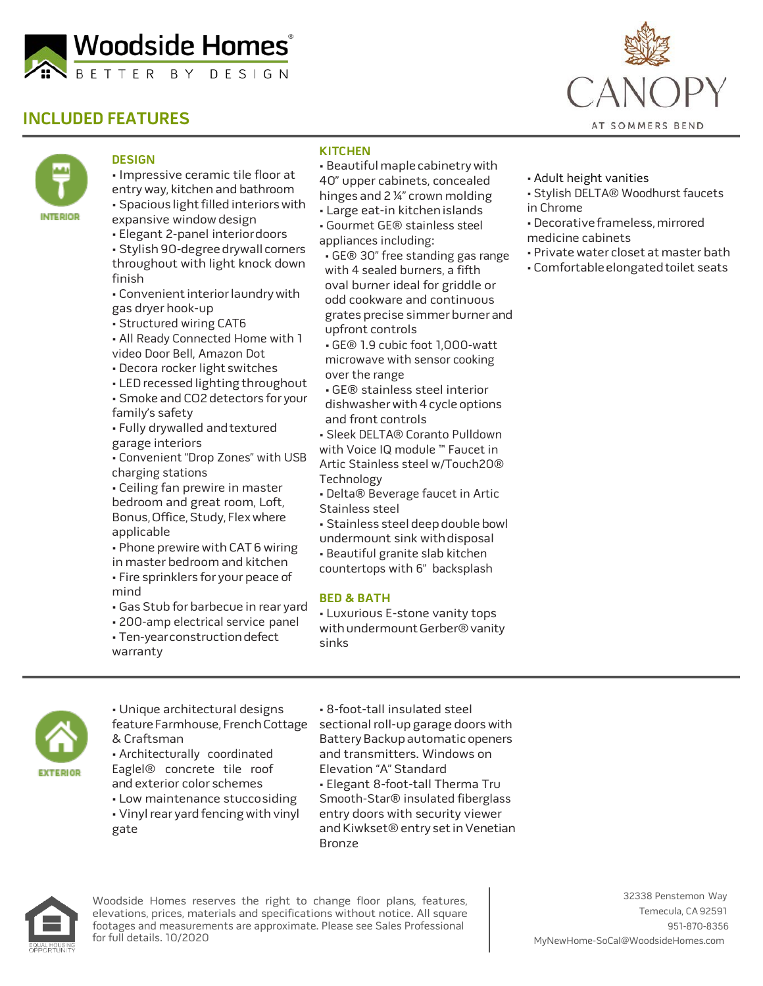

# **INCLUDED FEATURES**



### **DESIGN**

• Impressive ceramic tile floor at entryway, kitchen and bathroom • Spacious light filled interiors with expansive windowdesign

- Elegant 2-panel interiordoors • Stylish 90-degree drywall corners throughout with light knock down finish
- Convenient interior laundry with gas dryer hook-up
- Structured wiring CAT6
- All Ready Connected Home with 1 video Door Bell, Amazon Dot
- Decora rocker light switches
- LED recessed lighting throughout • Smoke and CO2 detectors for your family's safety
- Fully drywalled andtextured garage interiors
- Convenient "Drop Zones" with USB charging stations
- Ceiling fan prewire in master bedroom and great room, Loft, Bonus, Office, Study, Flex where applicable
- Phone prewire with CAT6 wiring in master bedroom and kitchen • Fire sprinklers for your peace of
- mind
- Gas Stub for barbecue in rear yard
- 200-amp electrical service panel

• Ten-yearconstructiondefect

warranty

• Gourmet GE® stainless steel appliances including:

**KITCHEN**

• GE® 30" free standing gas range with 4 sealed burners, a fifth oval burner ideal for griddle or odd cookware and continuous grates precise simmer burner and upfront controls

• Beautiful maple cabinetrywith 40" upper cabinets, concealed hinges and 2 ¼" crown molding • Large eat-in kitchenislands

• GE® 1.9 cubic foot 1,000-watt microwave with sensor cooking over the range

• GE® stainless steel interior dishwasherwith 4 cycle options and front controls

• Sleek DELTA® Coranto Pulldown with Voice IQ module ™ Faucet in Artic Stainless steel w/Touch20® Technology

- Delta® Beverage faucet in Artic Stainless steel
- Stainless steel deep double bowl undermount sink withdisposal
- Beautiful granite slab kitchen
- countertops with 6" backsplash

### **BED & BATH**

• Luxurious E-stone vanity tops with undermount Gerber® vanity sinks



• Unique architectural designs feature Farmhouse, French Cottage & Craftsman • Architecturally coordinated Eaglel® concrete tile roof and exterior color schemes

• Low maintenance stuccosiding • Vinyl rear yard fencing with vinyl gate

• 8-foot-tall insulated steel sectional roll-up garage doors with Battery Backup automatic openers and transmitters. Windows on Elevation "A" Standard • Elegant 8-foot-tall Therma Tru Smooth-Star® insulated fiberglass entry doors with security viewer and Kiwkset® entry set in Venetian Bronze



for full details. 10/2020 **[MyNewHome-SoCal@WoodsideHomes.com](mailto:MyNewHome-SoCal@WoodsideHomes.com)** Woodside Homes reserves the right to change floor plans, features, elevations, prices, materials and specifications without notice. All square footages and measurements are approximate. Please see Sales Professional



- Adult height vanities
- Stylish DELTA® Woodhurst faucets in Chrome
- Decorative frameless, mirrored medicine cabinets
- Private water closet at master bath
- Comfortableelongatedtoilet seats